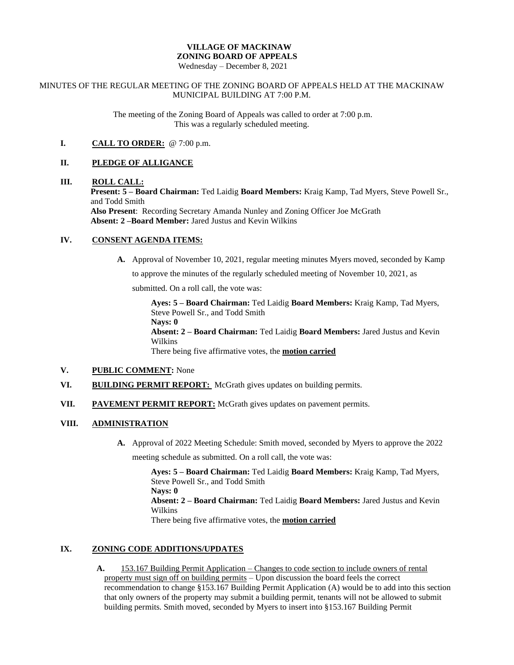# **VILLAGE OF MACKINAW ZONING BOARD OF APPEALS**

Wednesday – December 8, 2021

### MINUTES OF THE REGULAR MEETING OF THE ZONING BOARD OF APPEALS HELD AT THE MACKINAW MUNICIPAL BUILDING AT 7:00 P.M.

The meeting of the Zoning Board of Appeals was called to order at 7:00 p.m. This was a regularly scheduled meeting.

## **I. CALL TO ORDER:** @ 7:00 p.m.

### **II. PLEDGE OF ALLIGANCE**

#### **III. ROLL CALL:**

**Present: 5 – Board Chairman:** Ted Laidig **Board Members:** Kraig Kamp, Tad Myers, Steve Powell Sr., and Todd Smith

**Also Present**: Recording Secretary Amanda Nunley and Zoning Officer Joe McGrath **Absent: 2 –Board Member:** Jared Justus and Kevin Wilkins

#### **IV. CONSENT AGENDA ITEMS:**

**A.** Approval of November 10, 2021, regular meeting minutes Myers moved, seconded by Kamp

to approve the minutes of the regularly scheduled meeting of November 10, 2021, as

submitted. On a roll call, the vote was:

**Ayes: 5 – Board Chairman:** Ted Laidig **Board Members:** Kraig Kamp, Tad Myers, Steve Powell Sr., and Todd Smith

**Nays: 0**

**Absent: 2 – Board Chairman:** Ted Laidig **Board Members:** Jared Justus and Kevin Wilkins

There being five affirmative votes, the **motion carried**

### **V. PUBLIC COMMENT:** None

- **VI. BUILDING PERMIT REPORT:** McGrath gives updates on building permits.
- **VII. PAVEMENT PERMIT REPORT:** McGrath gives updates on pavement permits.

## **VIII. ADMINISTRATION**

**A.** Approval of 2022 Meeting Schedule: Smith moved, seconded by Myers to approve the 2022

meeting schedule as submitted. On a roll call, the vote was:

**Ayes: 5 – Board Chairman:** Ted Laidig **Board Members:** Kraig Kamp, Tad Myers, Steve Powell Sr., and Todd Smith **Nays: 0 Absent: 2 – Board Chairman:** Ted Laidig **Board Members:** Jared Justus and Kevin Wilkins There being five affirmative votes, the **motion carried**

## **IX. ZONING CODE ADDITIONS/UPDATES**

**A.** 153.167 Building Permit Application – Changes to code section to include owners of rental property must sign off on building permits – Upon discussion the board feels the correct recommendation to change §153.167 Building Permit Application (A) would be to add into this section that only owners of the property may submit a building permit, tenants will not be allowed to submit building permits. Smith moved, seconded by Myers to insert into §153.167 Building Permit